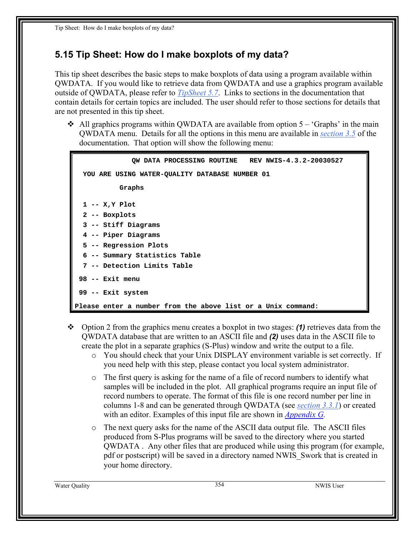## <span id="page-0-0"></span>**5.15 Tip Sheet: How do I make boxplots of my data?**

This tip sheet describes the basic steps to make boxplots of data using a program available within QWDATA. If you would like to retrieve data from QWDATA and use a graphics program available outside of QWDATA, please refer to *TipSheet 5.7*. Links to sections in the documentation that contain details for certain topics are included. The user should refer to those sections for details that are not presented in this tip sheet.

 $\div$  All graphics programs within QWDATA are available from option 5 – 'Graphs' in the main QWDATA menu. Details for all the options in this menu are available in *section 3.5* of the documentation. That option will show the following menu:

```
 QW DATA PROCESSING ROUTINE REV NWIS-4.3.2-20030527 
  YOU ARE USING WATER-QUALITY DATABASE NUMBER 01 
            Graphs 
  1 -- X,Y Plot 
   2 -- Boxplots 
   3 -- Stiff Diagrams 
   4 -- Piper Diagrams 
   5 -- Regression Plots 
   6 -- Summary Statistics Table 
   7 -- Detection Limits Table 
 98 -- Exit menu 
 99 -- Exit system 
Please enter a number from the above list or a Unix command:
```
- Option 2 from the graphics menu creates a boxplot in two stages: *(1)* retrieves data from the QWDATA database that are written to an ASCII file and *(2)* uses data in the ASCII file to create the plot in a separate graphics (S-Plus) window and write the output to a file.
	- o You should check that your Unix DISPLAY environment variable is set correctly. If you need help with this step, please contact you local system administrator.
	- o The first query is asking for the name of a file of record numbers to identify what samples will be included in the plot. All graphical programs require an input file of record numbers to operate. The format of this file is one record number per line in columns 1-8 and can be generated through QWDATA (see *section 3.3.1*) or created with an editor. Examples of this input file are shown in *Appendix G.*
	- o The next query asks for the name of the ASCII data output file. The ASCII files produced from S-Plus programs will be saved to the directory where you started QWDATA . Any other files that are produced while using this program (for example, pdf or postscript) will be saved in a directory named NWIS\_Swork that is created in your home directory.

Water Quality 354 NWIS User